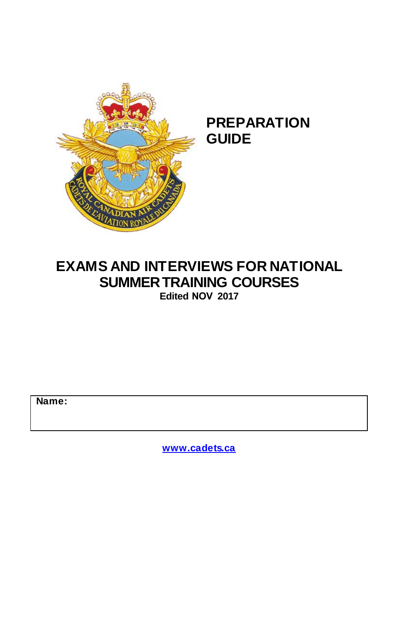

## **PREPARATION GUIDE**

## **EXAMS AND INTERVIEWS FOR NATIONAL SUMMER TRAINING COURSES**

**Edited NOV 2017** 

**Name:**

**[www.cadets.ca](http://www.cadets.ca/)**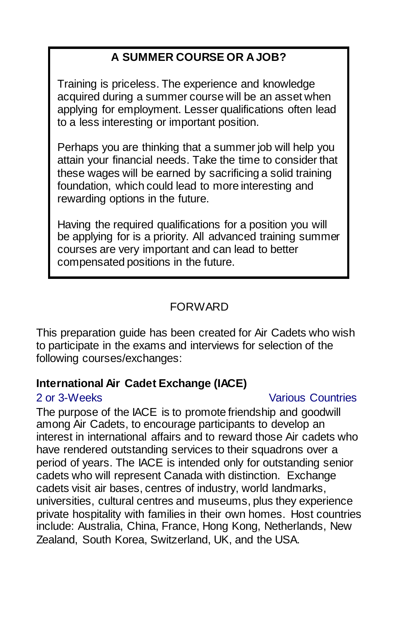### **A SUMMER COURSE OR A JOB?**

Training is priceless. The experience and knowledge acquired during a summer course will be an asset when applying for employment. Lesser qualifications often lead to a less interesting or important position.

Perhaps you are thinking that a summer job will help you attain your financial needs. Take the time to consider that these wages will be earned by sacrificing a solid training foundation, which could lead to more interesting and rewarding options in the future.

Having the required qualifications for a position you will be applying for is a priority. All advanced training summer courses are very important and can lead to better compensated positions in the future.

#### FORWARD

This preparation guide has been created for Air Cadets who wish to participate in the exams and interviews for selection of the following courses/exchanges:

#### **International Air Cadet Exchange (IACE)**

#### 2 or 3-Weeks Various Countries

The purpose of the IACE is to promote friendship and goodwill among Air Cadets, to encourage participants to develop an interest in international affairs and to reward those Air cadets who have rendered outstanding services to their squadrons over a period of years. The IACE is intended only for outstanding senior cadets who will represent Canada with distinction. Exchange cadets visit air bases, centres of industry, world landmarks, universities, cultural centres and museums, plus they experience private hospitality with families in their own homes. Host countries include: Australia, China, France, Hong Kong, Netherlands, New Zealand, South Korea, Switzerland, UK, and the USA.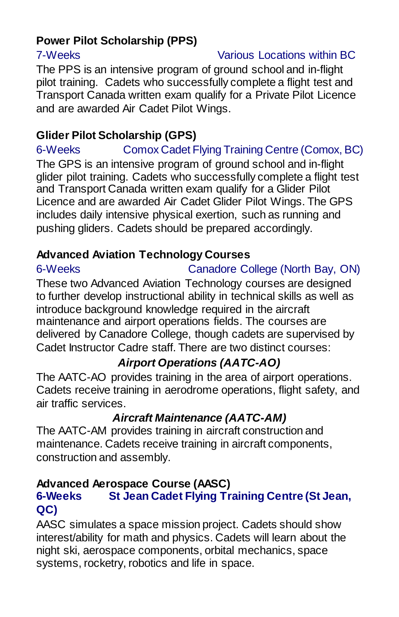## **Power Pilot Scholarship (PPS)**

#### 7-Weeks Various Locations within BC

The PPS is an intensive program of ground school and in-flight pilot training. Cadets who successfully complete a flight test and Transport Canada written exam qualify for a Private Pilot Licence and are awarded Air Cadet Pilot Wings.

### **Glider Pilot Scholarship (GPS)**

6-Weeks Comox Cadet Flying Training Centre (Comox, BC) The GPS is an intensive program of ground school and in-flight glider pilot training. Cadets who successfully complete a flight test and Transport Canada written exam qualify for a Glider Pilot Licence and are awarded Air Cadet Glider Pilot Wings. The GPS includes daily intensive physical exertion, such as running and pushing gliders. Cadets should be prepared accordingly.

#### **Advanced Aviation Technology Courses**

6-Weeks Canadore College (North Bay, ON)

These two Advanced Aviation Technology courses are designed to further develop instructional ability in technical skills as well as introduce background knowledge required in the aircraft maintenance and airport operations fields. The courses are delivered by Canadore College, though cadets are supervised by Cadet Instructor Cadre staff. There are two distinct courses:

#### *Airport Operations (AATC-AO)*

The AATC-AO provides training in the area of airport operations. Cadets receive training in aerodrome operations, flight safety, and air traffic services.

#### *Aircraft Maintenance (AATC-AM)*

The AATC-AM provides training in aircraft construction and maintenance. Cadets receive training in aircraft components, construction and assembly.

# **Advanced Aerospace Course (AASC)**

#### **64 Jean Cadet Flying Training Centre (St Jean, QC)**

AASC simulates a space mission project. Cadets should show interest/ability for math and physics. Cadets will learn about the night ski, aerospace components, orbital mechanics, space systems, rocketry, robotics and life in space.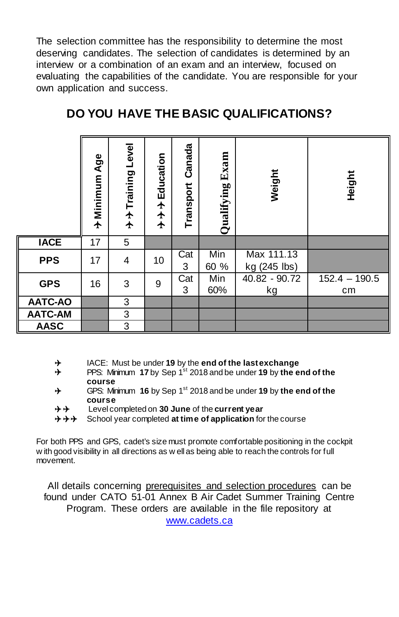The selection committee has the responsibility to determine the most deserving candidates. The selection of candidates is determined by an interview or a combination of an exam and an interview, focused on evaluating the capabilities of the candidate. You are responsible for your own application and success.

|                | + Minimum Age | Level<br>→ → Training | Education<br>$\begin{array}{c}\n\uparrow \\ \uparrow\n\end{array}$<br>$\bigstar$ | Canada<br>Transport | Exam<br>Qualifying | Weight                     | Height                |
|----------------|---------------|-----------------------|----------------------------------------------------------------------------------|---------------------|--------------------|----------------------------|-----------------------|
| <b>IACE</b>    | 17            | 5                     |                                                                                  |                     |                    |                            |                       |
| <b>PPS</b>     | 17            | 4                     | 10                                                                               | Cat<br>3            | Min<br>60 %        | Max 111.13<br>kg (245 lbs) |                       |
| <b>GPS</b>     | 16            | 3                     | 9                                                                                | Cat<br>3            | Min<br>60%         | 40.82 - 90.72<br>kg        | $152.4 - 190.5$<br>cm |
| <b>AATC-AO</b> |               | 3                     |                                                                                  |                     |                    |                            |                       |
| <b>AATC-AM</b> |               | 3                     |                                                                                  |                     |                    |                            |                       |
| <b>AASC</b>    |               | 3                     |                                                                                  |                     |                    |                            |                       |

### **DO YOU HAVE THE BASIC QUALIFICATIONS?**

- ⊁ IACE: Must be under **19** by the **end of the last exchange**
- $\rightarrow$ PPS: Minimum 17 by Sep 1<sup>st</sup> 2018 and be under 19 by the end of the **course**
- $\rightarrow$ GPS: Minimum 16 by Sep 1<sup>st</sup> 2018 and be under 19 by the end of the **course**
- Level completed on **30 June** of the **current year**

 $\rightarrow$  $\rightarrow$  $\rightarrow$  School year completed at time of application for the course

For both PPS and GPS, cadet's size must promote comfortable positioning in the cockpit w ith good visibility in all directions as w ell as being able to reach the controls for full movement.

All details concerning prerequisites and selection procedures can be found under CATO 51-01 Annex B Air Cadet Summer Training Centre Program. These orders are available in the file repository at

[www.cadets.ca](http://www.cadets.ca/)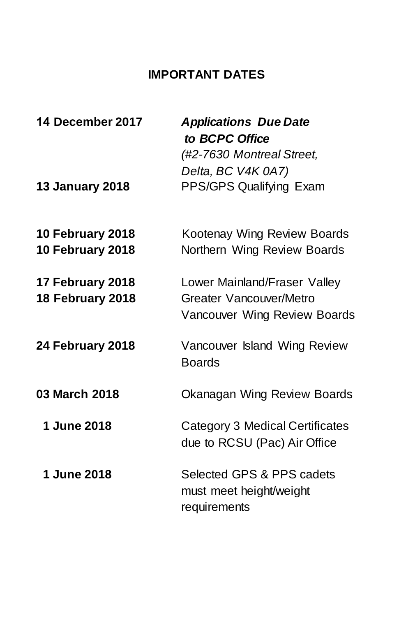## **IMPORTANT DATES**

| 14 December 2017                     | <b>Applications Due Date</b><br>to BCPC Office<br>(#2-7630 Montreal Street,<br>Delta, BC V4K 0A7) |
|--------------------------------------|---------------------------------------------------------------------------------------------------|
| <b>13 January 2018</b>               | PPS/GPS Qualifying Exam                                                                           |
| 10 February 2018<br>10 February 2018 | Kootenay Wing Review Boards<br>Northern Wing Review Boards                                        |
| 17 February 2018<br>18 February 2018 | Lower Mainland/Fraser Valley<br>Greater Vancouver/Metro<br>Vancouver Wing Review Boards           |
| 24 February 2018                     | Vancouver Island Wing Review<br><b>Boards</b>                                                     |
| 03 March 2018                        | Okanagan Wing Review Boards                                                                       |
| 1 June 2018                          | Category 3 Medical Certificates<br>due to RCSU (Pac) Air Office                                   |
| 1 June 2018                          | Selected GPS & PPS cadets<br>must meet height/weight<br>requirements                              |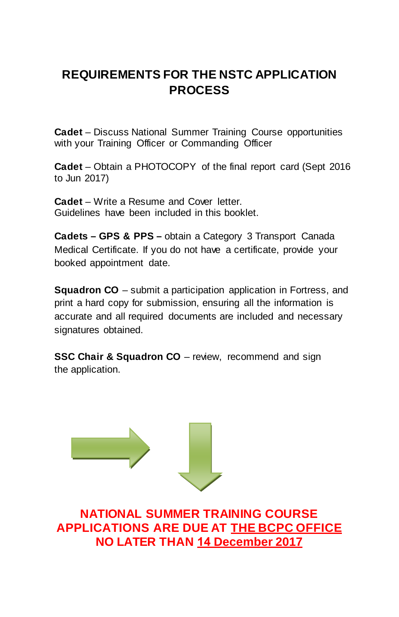## **REQUIREMENTS FOR THE NSTC APPLICATION PROCESS**

**Cadet** – Discuss National Summer Training Course opportunities with your Training Officer or Commanding Officer

**Cadet** – Obtain a PHOTOCOPY of the final report card (Sept 2016 to Jun 2017)

**Cadet** – Write a Resume and Cover letter. Guidelines have been included in this booklet.

**Cadets – GPS & PPS –** obtain a Category 3 Transport Canada Medical Certificate. If you do not have a certificate, provide your booked appointment date.

**Squadron CO** – submit a participation application in Fortress, and print a hard copy for submission, ensuring all the information is accurate and all required documents are included and necessary signatures obtained.

**SSC Chair & Squadron CO** – review, recommend and sign the application.



**NATIONAL SUMMER TRAINING COURSE APPLICATIONS ARE DUE AT THE BCPC OFFICE NO LATER THAN 14 December 2017**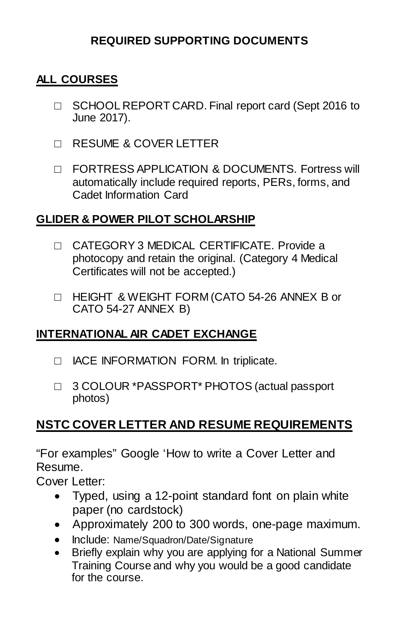#### **REQUIRED SUPPORTING DOCUMENTS**

#### **ALL COURSES**

- □ SCHOOL REPORT CARD. Final report card (Sept 2016 to June 2017).
- □ RESUME & COVER LETTER
- □ FORTRESS APPLICATION & DOCUMENTS. Fortress will automatically include required reports, PERs, forms, and Cadet Information Card

#### **GLIDER & POWER PILOT SCHOLARSHIP**

- □ CATEGORY 3 MEDICAL CERTIFICATE. Provide a photocopy and retain the original. (Category 4 Medical Certificates will not be accepted.)
- □ HEIGHT & WEIGHT FORM (CATO 54-26 ANNEX B or CATO 54-27 ANNEX B)

#### **INTERNATIONAL AIR CADET EXCHANGE**

- □ IACE INFORMATION FORM. In triplicate.
- □ 3 COLOUR \*PASSPORT\* PHOTOS (actual passport photos)

## **NSTC COVER LETTER AND RESUME REQUIREMENTS**

"For examples" Google 'How to write a Cover Letter and Resume.

Cover Letter:

- Typed, using a 12-point standard font on plain white paper (no cardstock)
- Approximately 200 to 300 words, one-page maximum.
- Include: Name/Squadron/Date/Signature
- Briefly explain why you are applying for a National Summer Training Course and why you would be a good candidate for the course.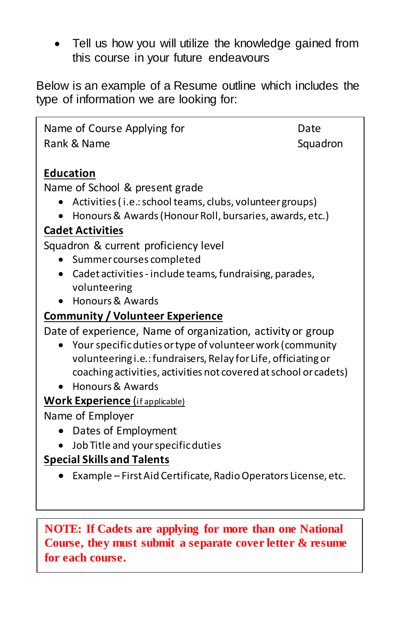• Tell us how you will utilize the knowledge gained from this course in your future endeavours

Below is an example of a Resume outline which includes the type of information we are looking for:

Name of Course Applying for The Date Rank & Name Squadron Squadron **Education**  Name of School & present grade • Activities ( i.e.:school teams, clubs, volunteer groups) • Honours & Awards (Honour Roll, bursaries, awards, etc.) **Cadet Activities**  Squadron & current proficiency level • Summer courses completed • Cadet activities - include teams, fundraising, parades, volunteering • Honours & Awards **Community / Volunteer Experience**  Date of experience, Name of organization, activity or group • Your specificduties or type of volunteer work (community volunteering i.e.: fundraisers, Relay for Life, officiating or coaching activities, activities not covered at school or cadets) • Honours & Awards **Work Experience** (if applicable) Name of Employer • Dates of Employment • Job Title and your specific duties **Special Skills and Talents**  • Example – First Aid Certificate, Radio Operators License, etc.

**NOTE: If Cadets are applying for more than one National Course, they must submit a separate cover letter & resume for each course.**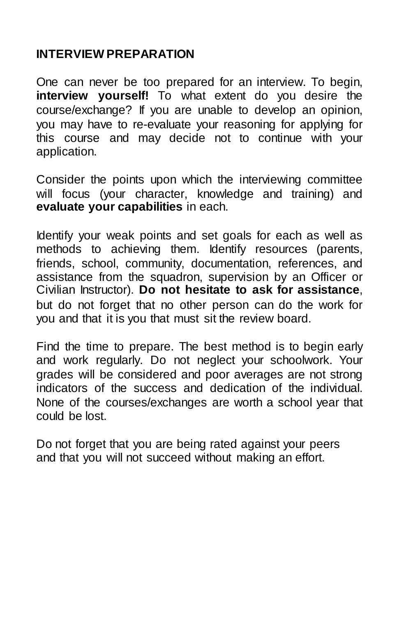#### **INTERVIEW PREPARATION**

One can never be too prepared for an interview. To begin, **interview yourself!** To what extent do you desire the course/exchange? If you are unable to develop an opinion, you may have to re-evaluate your reasoning for applying for this course and may decide not to continue with your application.

Consider the points upon which the interviewing committee will focus (your character, knowledge and training) and **evaluate your capabilities** in each.

Identify your weak points and set goals for each as well as methods to achieving them. Identify resources (parents, friends, school, community, documentation, references, and assistance from the squadron, supervision by an Officer or Civilian Instructor). **Do not hesitate to ask for assistance**, but do not forget that no other person can do the work for you and that it is you that must sit the review board.

Find the time to prepare. The best method is to begin early and work regularly. Do not neglect your schoolwork. Your grades will be considered and poor averages are not strong indicators of the success and dedication of the individual. None of the courses/exchanges are worth a school year that could be lost.

Do not forget that you are being rated against your peers and that you will not succeed without making an effort.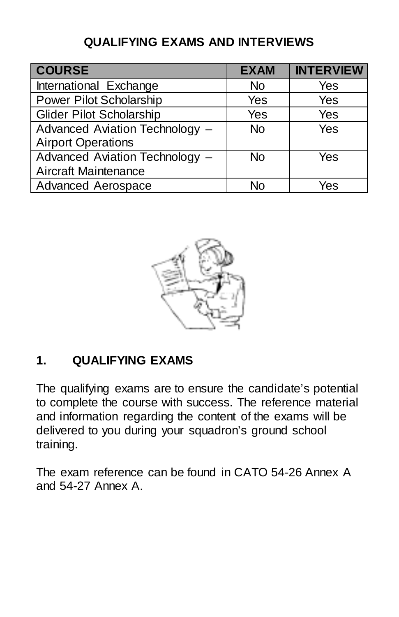## **QUALIFYING EXAMS AND INTERVIEWS**

| <b>COURSE</b>                   | <b>EXAM</b> | <b>INTERVIEW</b> |
|---------------------------------|-------------|------------------|
| International Exchange          | No          | Yes              |
| Power Pilot Scholarship         | Yes         | Yes              |
| <b>Glider Pilot Scholarship</b> | Yes         | Yes              |
| Advanced Aviation Technology -  | <b>No</b>   | Yes              |
| <b>Airport Operations</b>       |             |                  |
| Advanced Aviation Technology -  | <b>No</b>   | Yes              |
| Aircraft Maintenance            |             |                  |
| <b>Advanced Aerospace</b>       | N٥          | Yes              |



## **1. QUALIFYING EXAMS**

The qualifying exams are to ensure the candidate's potential to complete the course with success. The reference material and information regarding the content of the exams will be delivered to you during your squadron's ground school training.

The exam reference can be found in CATO 54-26 Annex A and 54-27 Annex A.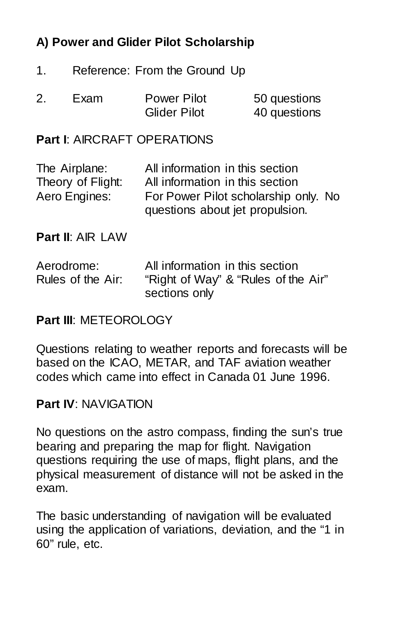## **A) Power and Glider Pilot Scholarship**

- 1. Reference: From the Ground Up
- 2. Exam Power Pilot 50 questions Glider Pilot 40 questions

#### **Part I**: AIRCRAFT OPERATIONS

| The Airplane:     | All information in this section                                         |
|-------------------|-------------------------------------------------------------------------|
| Theory of Flight: | All information in this section                                         |
| Aero Engines:     | For Power Pilot scholarship only. No<br>questions about jet propulsion. |

**Part II**: AIR LAW

| Aerodrome:        | All information in this section     |
|-------------------|-------------------------------------|
| Rules of the Air: | "Right of Way" & "Rules of the Air" |
|                   | sections only                       |

#### **Part III**: METEOROLOGY

Questions relating to weather reports and forecasts will be based on the ICAO, METAR, and TAF aviation weather codes which came into effect in Canada 01 June 1996.

#### **Part IV**: NAVIGATION

No questions on the astro compass, finding the sun's true bearing and preparing the map for flight. Navigation questions requiring the use of maps, flight plans, and the physical measurement of distance will not be asked in the exam.

The basic understanding of navigation will be evaluated using the application of variations, deviation, and the "1 in 60" rule, etc.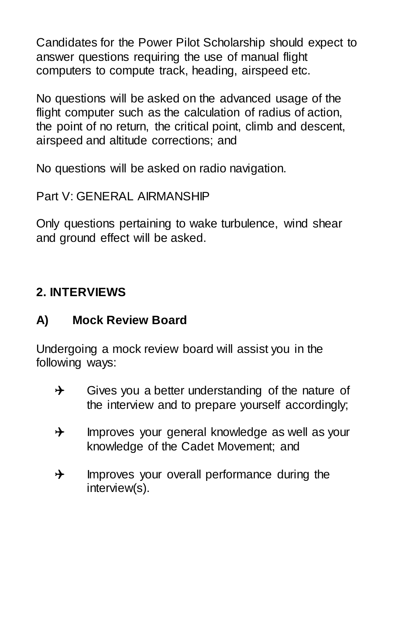Candidates for the Power Pilot Scholarship should expect to answer questions requiring the use of manual flight computers to compute track, heading, airspeed etc.

No questions will be asked on the advanced usage of the flight computer such as the calculation of radius of action, the point of no return, the critical point, climb and descent, airspeed and altitude corrections; and

No questions will be asked on radio navigation.

Part V: GENERAL AIRMANSHIP

Only questions pertaining to wake turbulence, wind shear and ground effect will be asked.

## **2. INTERVIEWS**

## **A) Mock Review Board**

Undergoing a mock review board will assist you in the following ways:

- $\rightarrow$  Gives you a better understanding of the nature of the interview and to prepare yourself accordingly;
- $\rightarrow$  Improves your general knowledge as well as your knowledge of the Cadet Movement; and
- $\rightarrow$  Improves your overall performance during the interview(s).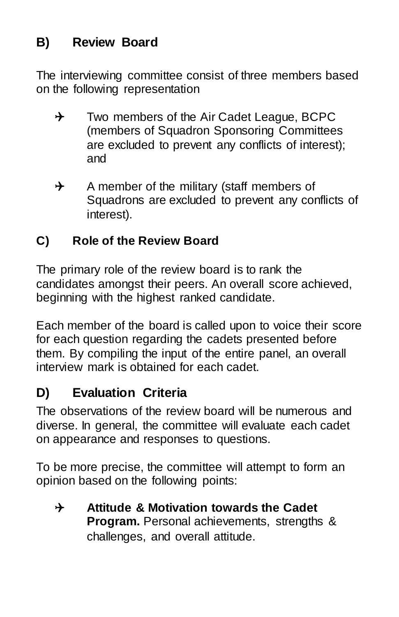## **B) Review Board**

The interviewing committee consist of three members based on the following representation

- $\rightarrow$  Two members of the Air Cadet League, BCPC (members of Squadron Sponsoring Committees are excluded to prevent any conflicts of interest); and
- $\rightarrow$  A member of the military (staff members of Squadrons are excluded to prevent any conflicts of interest).

## **C) Role of the Review Board**

The primary role of the review board is to rank the candidates amongst their peers. An overall score achieved, beginning with the highest ranked candidate.

Each member of the board is called upon to voice their score for each question regarding the cadets presented before them. By compiling the input of the entire panel, an overall interview mark is obtained for each cadet.

## **D) Evaluation Criteria**

The observations of the review board will be numerous and diverse. In general, the committee will evaluate each cadet on appearance and responses to questions.

To be more precise, the committee will attempt to form an opinion based on the following points:

 **Attitude & Motivation towards the Cadet Program.** Personal achievements, strengths & challenges, and overall attitude.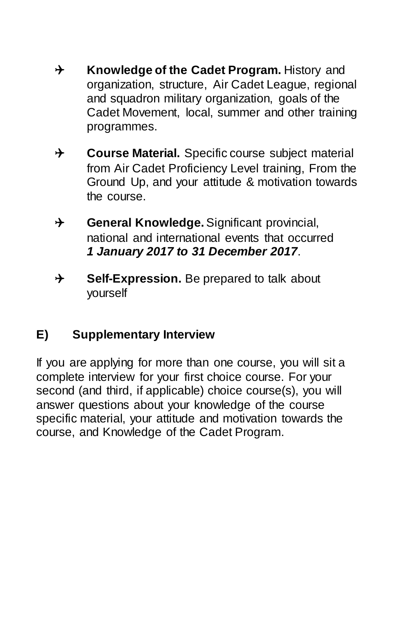- **★** Knowledge of the Cadet Program. History and organization, structure, Air Cadet League, regional and squadron military organization, goals of the Cadet Movement, local, summer and other training programmes.
- **↑** Course Material. Specific course subject material from Air Cadet Proficiency Level training, From the Ground Up, and your attitude & motivation towards the course.
- **General Knowledge.**Significant provincial, national and international events that occurred *1 January 2017 to 31 December 2017*.
- **→ Self-Expression.** Be prepared to talk about yourself

## **E) Supplementary Interview**

If you are applying for more than one course, you will sit a complete interview for your first choice course. For your second (and third, if applicable) choice course(s), you will answer questions about your knowledge of the course specific material, your attitude and motivation towards the course, and Knowledge of the Cadet Program.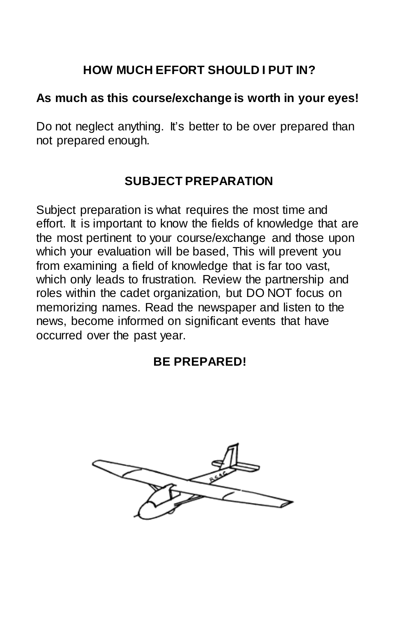## **HOW MUCH EFFORT SHOULD I PUT IN?**

#### **As much as this course/exchange is worth in your eyes!**

Do not neglect anything. It's better to be over prepared than not prepared enough.

## **SUBJECT PREPARATION**

Subject preparation is what requires the most time and effort. It is important to know the fields of knowledge that are the most pertinent to your course/exchange and those upon which your evaluation will be based, This will prevent you from examining a field of knowledge that is far too vast, which only leads to frustration. Review the partnership and roles within the cadet organization, but DO NOT focus on memorizing names. Read the newspaper and listen to the news, become informed on significant events that have occurred over the past year.

## **BE PREPARED!**

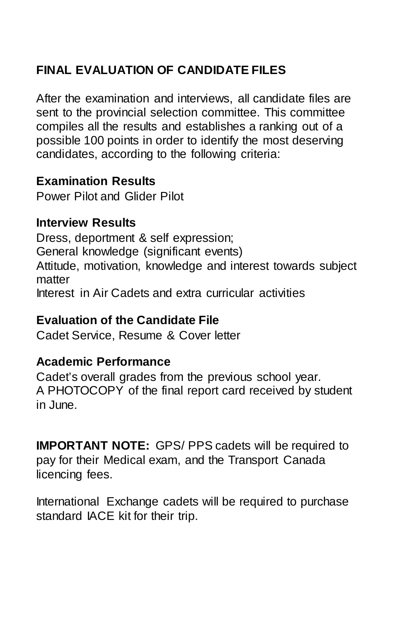## **FINAL EVALUATION OF CANDIDATE FILES**

After the examination and interviews, all candidate files are sent to the provincial selection committee. This committee compiles all the results and establishes a ranking out of a possible 100 points in order to identify the most deserving candidates, according to the following criteria:

#### **Examination Results**

Power Pilot and Glider Pilot

#### **Interview Results**

Dress, deportment & self expression; General knowledge (significant events) Attitude, motivation, knowledge and interest towards subject matter Interest in Air Cadets and extra curricular activities

#### **Evaluation of the Candidate File**

Cadet Service, Resume & Cover letter

#### **Academic Performance**

Cadet's overall grades from the previous school year. A PHOTOCOPY of the final report card received by student in June.

**IMPORTANT NOTE:** GPS/ PPS cadets will be required to pay for their Medical exam, and the Transport Canada licencing fees.

International Exchange cadets will be required to purchase standard IACE kit for their trip.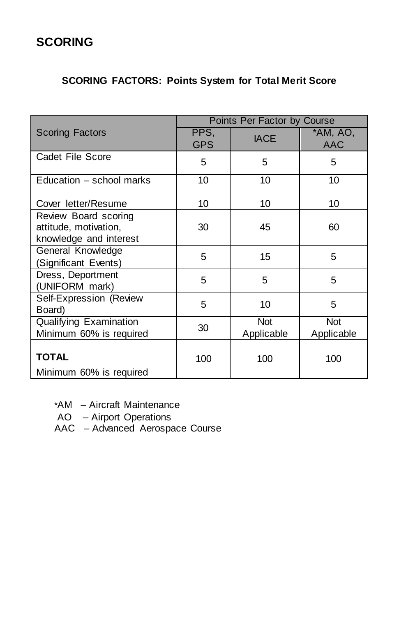## **SCORING**

#### **SCORING FACTORS: Points System for Total Merit Score**

|                                                                         | Points Per Factor by Course |                          |                          |
|-------------------------------------------------------------------------|-----------------------------|--------------------------|--------------------------|
| <b>Scoring Factors</b>                                                  | PPS,<br><b>GPS</b>          | <b>IACE</b>              | $*AM, AO,$<br><b>AAC</b> |
| Cadet File Score                                                        | 5                           | 5                        | 5                        |
| Education – school marks                                                | 10                          | 10                       | 10                       |
| Cover letter/Resume                                                     | 10                          | 10                       | 10                       |
| Review Board scoring<br>attitude, motivation,<br>knowledge and interest | 30                          | 45                       | 60                       |
| General Knowledge<br>(Significant Events)                               | 5                           | 15                       | 5                        |
| Dress, Deportment<br>(UNIFORM mark)                                     | 5                           | 5                        | 5                        |
| Self-Expression (Review<br>Board)                                       | 5                           | 10                       | 5                        |
| Qualifying Examination<br>Minimum 60% is required                       | 30                          | <b>Not</b><br>Applicable | <b>Not</b><br>Applicable |
| <b>TOTAL</b><br>Minimum 60% is required                                 | 100                         | 100                      | 100                      |

- \*AM Aircraft Maintenance
- AO Airport Operations
- AAC Advanced Aerospace Course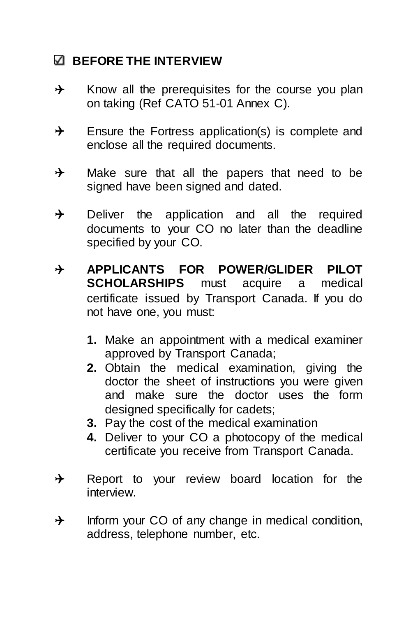## **BEFORE THE INTERVIEW**

- $\rightarrow$  Know all the prerequisites for the course you plan on taking (Ref CATO 51-01 Annex C).
- $\rightarrow$  Ensure the Fortress application(s) is complete and enclose all the required documents.
- $\rightarrow$  Make sure that all the papers that need to be signed have been signed and dated.
- $\rightarrow$  Deliver the application and all the required documents to your CO no later than the deadline specified by your CO.
- **APPLICANTS FOR POWER/GLIDER PILOT SCHOLARSHIPS** must acquire a medical certificate issued by Transport Canada. If you do not have one, you must:
	- **1.** Make an appointment with a medical examiner approved by Transport Canada;
	- **2.** Obtain the medical examination, giving the doctor the sheet of instructions you were given and make sure the doctor uses the form designed specifically for cadets;
	- **3.** Pay the cost of the medical examination
	- **4.** Deliver to your CO a photocopy of the medical certificate you receive from Transport Canada.
- $\rightarrow$  Report to your review board location for the interview.
- $\rightarrow$  Inform your CO of any change in medical condition, address, telephone number, etc.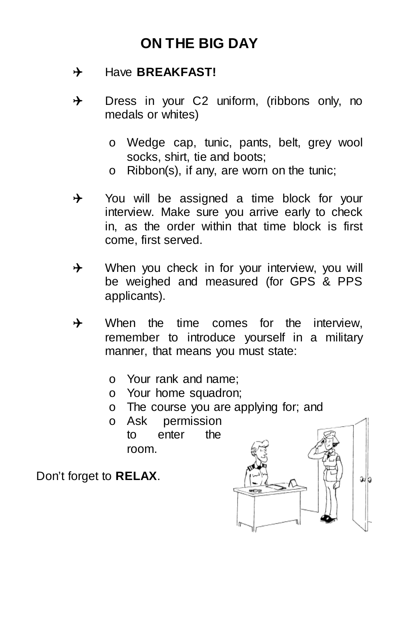## **ON THE BIG DAY**

### $\rightarrow$  Have **BREAKFAST!**

- $\rightarrow$  Dress in your C2 uniform, (ribbons only, no medals or whites)
	- o Wedge cap, tunic, pants, belt, grey wool socks, shirt, tie and boots;
	- o Ribbon(s), if any, are worn on the tunic;
- $\rightarrow$  You will be assigned a time block for your interview. Make sure you arrive early to check in, as the order within that time block is first come, first served.
- $\rightarrow$  When you check in for your interview, you will be weighed and measured (for GPS & PPS applicants).
- $\rightarrow$  When the time comes for the interview, remember to introduce yourself in a military manner, that means you must state:
	- o Your rank and name;
	- o Your home squadron;
	- $\circ$  The course you are applying for; and  $\circ$  Ask permission
	- o Ask permission enter room.

Don't forget to **RELAX**.